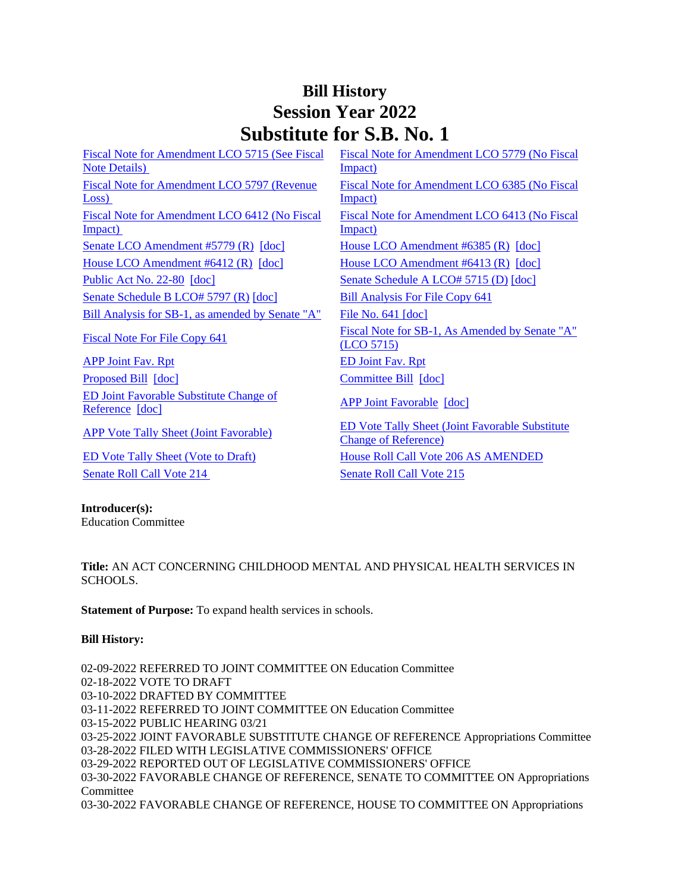## **Bill History Session Year 2022 Substitute for S.B. No. 1**

[Fiscal Note for Amendment LCO 5715 \(See Fiscal](/2022/fna/pdf/2022SB-00001-R00LCO05715-FNA.PDF)  [Note Details\)](/2022/fna/pdf/2022SB-00001-R00LCO05715-FNA.PDF)  [Fiscal Note for Amendment LCO 5779 \(No Fiscal](/2022/fna/pdf/2022SB-00001-R00LCO05779-FNA.pdf)  [Impact\)](/2022/fna/pdf/2022SB-00001-R00LCO05779-FNA.pdf)  [Fiscal Note for Amendment LCO 5797 \(Revenue](/2022/fna/pdf/2022SB-00001-R00LCO05797-FNA.PDF)  [Loss\)](/2022/fna/pdf/2022SB-00001-R00LCO05797-FNA.PDF)  [Fiscal Note for Amendment LCO 6385 \(No Fiscal](/2022/fna/pdf/2022SB-00001-R00LCO06385-FNA.pdf)  [Impact\)](/2022/fna/pdf/2022SB-00001-R00LCO06385-FNA.pdf)  [Fiscal Note for Amendment LCO 6412 \(No Fiscal](/2022/fna/pdf/2022SB-00001-R00LCO06412-FNA.pdf)  [Impact\)](/2022/fna/pdf/2022SB-00001-R00LCO06412-FNA.pdf)  [Fiscal Note for Amendment LCO 6413 \(No Fiscal](/2022/fna/pdf/2022SB-00001-R00LCO06413-FNA.pdf)  [Impact\)](/2022/fna/pdf/2022SB-00001-R00LCO06413-FNA.pdf)  [Senate LCO Amendment #5779 \(R\)](/2022/lcoamd/pdf/2022LCO05779-R00-AMD.pdf) [\[doc\]](https://search.cga.state.ct.us/dl2022/aml/doc/2022LCO06385-R00-AMD.DOCX) [House LCO Amendment #6385 \(R\)](/2022/lcoamd/pdf/2022LCO06385-R00-AMD.pdf) [doc] [House LCO Amendment #6412 \(R\)](/2022/lcoamd/pdf/2022LCO06412-R00-AMD.pdf) [\[doc\]](https://search.cga.state.ct.us/dl2022/aml/doc/2022LCO06413-R00-AMD.DOCX) [House LCO Amendment #6413 \(R\)](/2022/lcoamd/pdf/2022LCO06413-R00-AMD.pdf) [doc] [Public Act No. 22-80](/2022/ACT/PA/PDF/2022PA-00080-R00SB-00001-PA.PDF) [\[doc\]](https://search.cga.state.ct.us/dl2022/AMd/DOC/2022SB-00001-R00SA-AMD.Docx) [Senate Schedule A LCO# 5715 \(D\)](/2022/amd/S/pdf/2022SB-00001-R00SA-AMD.pdf) [doc] [Senate Schedule B LCO# 5797 \(R\)](/2022/amd/S/pdf/2022SB-00001-R00SB-AMD.pdf) [\[doc\]](https://search.cga.state.ct.us/dl2022/AMd/DOC/2022SB-00001-R00SB-AMD.Docx) [Bill Analysis For File Copy 641](/2022/BA/PDF/2022SB-00001-R000641-BA.PDF) [Bill Analysis for SB-1, as amended by Senate "A"](/2022/BA/PDF/2022SB-00001-R01-BA.PDF) [File No. 641](/2022/FC/PDF/2022SB-00001-R000641-FC.PDF) [\[doc\]](https://search.cga.state.ct.us/dl2022/fc/doc/2022SB-00001-R000641-FC.docx) [Fiscal Note For File Copy 641](/2022/FN/PDF/2022SB-00001-R000641-FN.PDF) Fiscal Note for SB-1, As Amended by Senate "A" [\(LCO 5715\)](/2022/FN/PDF/2022SB-00001-R01-FN.PDF) [APP Joint Fav. Rpt](/2022/JFR/S/PDF/2022SB-00001-R00APP-JFR.PDF) [ED Joint Fav. Rpt](/2022/JFR/S/PDF/2022SB-00001-R00ED-JFR.PDF) [Proposed Bill](/2022/TOB/S/PDF/2022SB-00001-R00-SB.PDF) [\[doc\]](https://search.cga.state.ct.us/dl2022/TOB/DOC/2022SB-00001-R01-SB.DOCX) [Committee Bill](/2022/TOB/S/PDF/2022SB-00001-R01-SB.PDF) [doc] [ED Joint Favorable Substitute Change of](/2022/TOB/S/PDF/2022SB-00001-R02-SB.PDF)  **ED Joint Favorable Substitute Change of**<br>[Reference](/2022/TOB/S/PDF/2022SB-00001-R02-SB.PDF) [\[doc\]](https://search.cga.state.ct.us/dl2022/TOB/DOC/2022SB-00001-R03-SB.DOCX) [APP Vote Tally Sheet \(Joint Favorable\)](/2022/TS/S/PDF/2022SB-00001-R00APP-CV41-TS.PDF) ED Vote Tally Sheet (Joint Favorable Substitute [Change of Reference\)](/2022/TS/S/PDF/2022SB-00001-R00ED-CV15-TS.PDF) [ED Vote Tally Sheet \(Vote to Draft\)](/2022/TS/S/PDF/2022SB-00001-R00ED-CV2-TS.PDF) [House Roll Call Vote 206 AS AMENDED](/2022/VOTE/H/PDF/2022HV-00206-R00SB00001-HV.PDF)  [Senate Roll Call Vote 214](/2022/VOTE/S/PDF/2022SV-00214-R00SB00001-SV.PDF) Senate Roll Call Vote 215

## **Introducer(s):**

Education Committee

**Title:** AN ACT CONCERNING CHILDHOOD MENTAL AND PHYSICAL HEALTH SERVICES IN SCHOOLS.

**Statement of Purpose:** To expand health services in schools.

## **Bill History:**

02-09-2022 REFERRED TO JOINT COMMITTEE ON Education Committee 02-18-2022 VOTE TO DRAFT 03-10-2022 DRAFTED BY COMMITTEE 03-11-2022 REFERRED TO JOINT COMMITTEE ON Education Committee 03-15-2022 PUBLIC HEARING 03/21 03-25-2022 JOINT FAVORABLE SUBSTITUTE CHANGE OF REFERENCE Appropriations Committee 03-28-2022 FILED WITH LEGISLATIVE COMMISSIONERS' OFFICE 03-29-2022 REPORTED OUT OF LEGISLATIVE COMMISSIONERS' OFFICE 03-30-2022 FAVORABLE CHANGE OF REFERENCE, SENATE TO COMMITTEE ON Appropriations **Committee** 03-30-2022 FAVORABLE CHANGE OF REFERENCE, HOUSE TO COMMITTEE ON Appropriations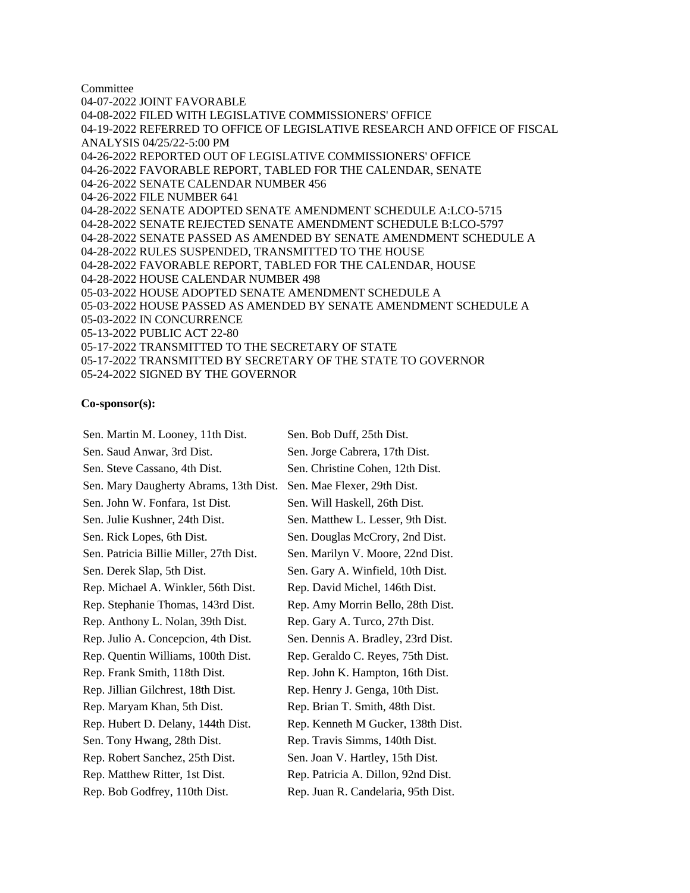Committee 04-07-2022 JOINT FAVORABLE 04-08-2022 FILED WITH LEGISLATIVE COMMISSIONERS' OFFICE 04-19-2022 REFERRED TO OFFICE OF LEGISLATIVE RESEARCH AND OFFICE OF FISCAL ANALYSIS 04/25/22-5:00 PM 04-26-2022 REPORTED OUT OF LEGISLATIVE COMMISSIONERS' OFFICE 04-26-2022 FAVORABLE REPORT, TABLED FOR THE CALENDAR, SENATE 04-26-2022 SENATE CALENDAR NUMBER 456 04-26-2022 FILE NUMBER 641 04-28-2022 SENATE ADOPTED SENATE AMENDMENT SCHEDULE A:LCO-5715 04-28-2022 SENATE REJECTED SENATE AMENDMENT SCHEDULE B:LCO-5797 04-28-2022 SENATE PASSED AS AMENDED BY SENATE AMENDMENT SCHEDULE A 04-28-2022 RULES SUSPENDED, TRANSMITTED TO THE HOUSE 04-28-2022 FAVORABLE REPORT, TABLED FOR THE CALENDAR, HOUSE 04-28-2022 HOUSE CALENDAR NUMBER 498 05-03-2022 HOUSE ADOPTED SENATE AMENDMENT SCHEDULE A 05-03-2022 HOUSE PASSED AS AMENDED BY SENATE AMENDMENT SCHEDULE A 05-03-2022 IN CONCURRENCE 05-13-2022 PUBLIC ACT 22-80 05-17-2022 TRANSMITTED TO THE SECRETARY OF STATE 05-17-2022 TRANSMITTED BY SECRETARY OF THE STATE TO GOVERNOR 05-24-2022 SIGNED BY THE GOVERNOR

## **Co-sponsor(s):**

Sen. Martin M. Looney, 11th Dist. Sen. Bob Duff, 25th Dist. Sen. Saud Anwar, 3rd Dist. Sen. Jorge Cabrera, 17th Dist. Sen. Steve Cassano, 4th Dist. Sen. Christine Cohen, 12th Dist. Sen. Mary Daugherty Abrams, 13th Dist. Sen. Mae Flexer, 29th Dist. Sen. John W. Fonfara, 1st Dist. Sen. Will Haskell, 26th Dist. Sen. Julie Kushner, 24th Dist. Sen. Matthew L. Lesser, 9th Dist. Sen. Rick Lopes, 6th Dist. Sen. Douglas McCrory, 2nd Dist. Sen. Patricia Billie Miller, 27th Dist. Sen. Marilyn V. Moore, 22nd Dist. Sen. Derek Slap, 5th Dist. Sen. Gary A. Winfield, 10th Dist. Rep. Michael A. Winkler, 56th Dist. Rep. David Michel, 146th Dist. Rep. Stephanie Thomas, 143rd Dist. Rep. Amy Morrin Bello, 28th Dist. Rep. Anthony L. Nolan, 39th Dist. Rep. Gary A. Turco, 27th Dist. Rep. Julio A. Concepcion, 4th Dist. Sen. Dennis A. Bradley, 23rd Dist. Rep. Quentin Williams, 100th Dist. Rep. Geraldo C. Reyes, 75th Dist. Rep. Frank Smith, 118th Dist. Rep. John K. Hampton, 16th Dist. Rep. Jillian Gilchrest, 18th Dist. Rep. Henry J. Genga, 10th Dist. Rep. Maryam Khan, 5th Dist. Rep. Brian T. Smith, 48th Dist. Rep. Hubert D. Delany, 144th Dist. Rep. Kenneth M Gucker, 138th Dist. Sen. Tony Hwang, 28th Dist. Rep. Travis Simms, 140th Dist. Rep. Robert Sanchez, 25th Dist. Sen. Joan V. Hartley, 15th Dist. Rep. Matthew Ritter, 1st Dist. Rep. Patricia A. Dillon, 92nd Dist. Rep. Bob Godfrey, 110th Dist. Rep. Juan R. Candelaria, 95th Dist.